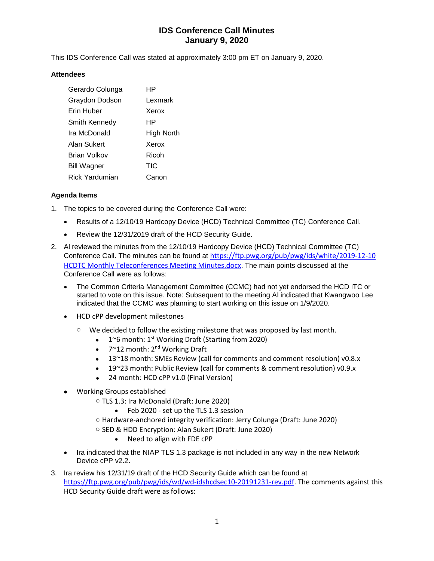# **IDS Conference Call Minutes January 9, 2020**

This IDS Conference Call was stated at approximately 3:00 pm ET on January 9, 2020.

#### **Attendees**

| Gerardo Colunga     | НP         |
|---------------------|------------|
| Graydon Dodson      | Lexmark    |
| Erin Huber          | Xerox      |
| Smith Kennedy       | ΗP         |
| Ira McDonald        | High North |
| Alan Sukert         | Xerox      |
| <b>Brian Volkov</b> | Ricoh      |
| <b>Bill Wagner</b>  | TIC        |
| Rick Yardumian      | Canon      |

### **Agenda Items**

- 1. The topics to be covered during the Conference Call were:
	- Results of a 12/10/19 Hardcopy Device (HCD) Technical Committee (TC) Conference Call.
	- Review the 12/31/2019 draft of the HCD Security Guide.
- 2. Al reviewed the minutes from the 12/10/19 Hardcopy Device (HCD) Technical Committee (TC) Conference Call. The minutes can be found at [https://ftp.pwg.org/pub/pwg/ids/white/2](https://ftp.pwg.org/pub/pwg/ids/white/)019-12-10 HCDTC Monthly Teleconferences Meeting Minutes.docx. The main points discussed at the Conference Call were as follows:
	- The Common Criteria Management Committee (CCMC) had not yet endorsed the HCD iTC or started to vote on this issue. Note: Subsequent to the meeting Al indicated that Kwangwoo Lee indicated that the CCMC was planning to start working on this issue on 1/9/2020.
	- HCD cPP development milestones
		- o We decided to follow the existing milestone that was proposed by last month.
			- $1^{\circ}$ 6 month: 1<sup>st</sup> Working Draft (Starting from 2020)
			- $7^{\sim}$ 12 month: 2<sup>nd</sup> Working Draft
			- 13~18 month: SMEs Review (call for comments and comment resolution) v0.8.x
			- 19~23 month: Public Review (call for comments & comment resolution) v0.9.x
			- 24 month: HCD cPP v1.0 (Final Version)
	- Working Groups established
		- o TLS 1.3: Ira McDonald (Draft: June 2020)
			- Feb 2020 set up the TLS 1.3 session
		- o Hardware-anchored integrity verification: Jerry Colunga (Draft: June 2020)
		- o SED & HDD Encryption: Alan Sukert (Draft: June 2020)
			- Need to align with FDE cPP
	- Ira indicated that the NIAP TLS 1.3 package is not included in any way in the new Network Device cPP v2.2.
- 3. Ira review his 12/31/19 draft of the HCD Security Guide which can be found at [https://ftp.pwg.org/pub/pwg/ids/wd/wd-idshcdsec10-20191231-rev.pdf.](https://ftp.pwg.org/pub/pwg/ids/wd/wd-idshcdsec10-20191231-rev.pdf) The comments against this HCD Security Guide draft were as follows: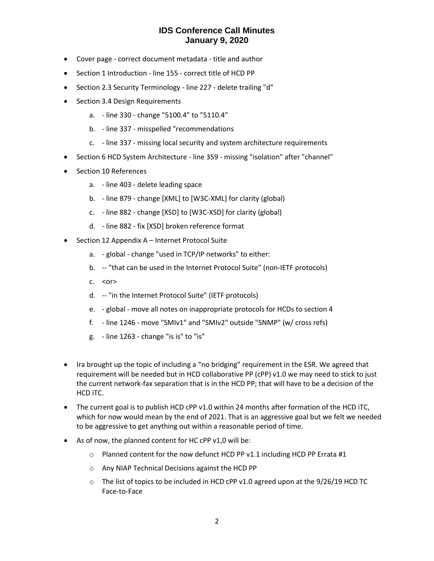## **IDS Conference Call Minutes January 9, 2020**

- Cover page correct document metadata title and author
- Section 1 Introduction line 155 correct title of HCD PP
- Section 2.3 Security Terminology line 227 delete trailing "d"
- Section 3.4 Design Requirements
	- a. line 330 change "5100.4" to "5110.4"
	- b. line 337 misspelled "recommendations
	- c. line 337 missing local security and system architecture requirements
- Section 6 HCD System Architecture line 359 missing "isolation" after "channel"
- Section 10 References
	- a. line 403 delete leading space
	- b. line 879 change [XML] to [W3C-XML] for clarity (global)
	- c. line 882 change [XSD] to [W3C-XSD] for clarity (global)
	- d. line 882 fix [XSD] broken reference format
- Section 12 Appendix A Internet Protocol Suite
	- a. global change "used in TCP/IP networks" to either:
	- b. -- "that can be used in the Internet Protocol Suite" (non-IETF protocols)
	- $c. <$   $<$ or $>$
	- d. -- "in the Internet Protocol Suite" (IETF protocols)
	- e. global move all notes on inappropriate protocols for HCDs to section 4
	- f. line 1246 move "SMIv1" and "SMIv2" outside "SNMP" (w/ cross refs)
	- g. line 1263 change "is is" to "is"
- Ira brought up the topic of including a "no bridging" requirement in the ESR. We agreed that requirement will be needed but in HCD collaborative PP (cPP) v1.0 we may need to stick to just the current network-fax separation that is in the HCD PP; that will have to be a decision of the HCD iTC.
- The current goal is to publish HCD cPP v1.0 within 24 months after formation of the HCD iTC, which for now would mean by the end of 2021. That is an aggressive goal but we felt we needed to be aggressive to get anything out within a reasonable period of time.
- As of now, the planned content for HC cPP v1,0 will be:
	- $\circ$  Planned content for the now defunct HCD PP v1.1 including HCD PP Errata #1
	- o Any NIAP Technical Decisions against the HCD PP
	- $\circ$  The list of topics to be included in HCD cPP v1.0 agreed upon at the 9/26/19 HCD TC Face-to-Face